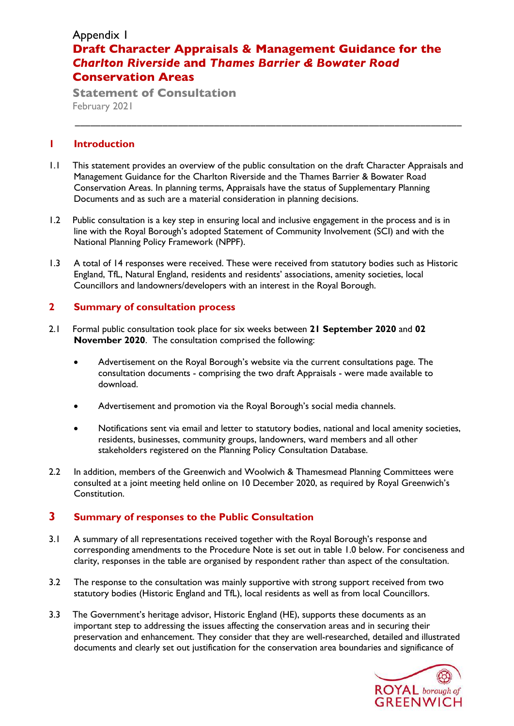# Appendix 1 **Draft Character Appraisals & Management Guidance for the**  *Charlton Riverside* **and** *Thames Barrier & Bowater Road* **Conservation Areas**

\_\_\_\_\_\_\_\_\_\_\_\_\_\_\_\_\_\_\_\_\_\_\_\_\_\_\_\_\_\_\_\_\_\_\_\_\_\_\_\_\_\_\_\_\_\_\_\_\_\_\_\_\_\_\_\_\_\_\_\_\_\_\_\_\_\_\_\_\_\_\_\_\_\_\_

**Statement of Consultation**  February 2021

## **1 Introduction**

- 1.1 This statement provides an overview of the public consultation on the draft Character Appraisals and Management Guidance for the Charlton Riverside and the Thames Barrier & Bowater Road Conservation Areas. In planning terms, Appraisals have the status of Supplementary Planning Documents and as such are a material consideration in planning decisions.
- 1.2 Public consultation is a key step in ensuring local and inclusive engagement in the process and is in line with the Royal Borough's adopted Statement of Community Involvement (SCI) and with the National Planning Policy Framework (NPPF).
- 1.3 A total of 14 responses were received. These were received from statutory bodies such as Historic England, TfL, Natural England, residents and residents' associations, amenity societies, local Councillors and landowners/developers with an interest in the Royal Borough.

# **2 Summary of consultation process**

- 2.1 Formal public consultation took place for six weeks between **21 September 2020** and **02 November 2020**. The consultation comprised the following:
	- Advertisement on the Royal Borough's website via the current consultations page. The consultation documents - comprising the two draft Appraisals - were made available to download.
	- Advertisement and promotion via the Royal Borough's social media channels.
	- Notifications sent via email and letter to statutory bodies, national and local amenity societies, residents, businesses, community groups, landowners, ward members and all other stakeholders registered on the Planning Policy Consultation Database.
- 2.2 In addition, members of the Greenwich and Woolwich & Thamesmead Planning Committees were consulted at a joint meeting held online on 10 December 2020, as required by Royal Greenwich's Constitution.

# **3 Summary of responses to the Public Consultation**

- 3.1 A summary of all representations received together with the Royal Borough's response and corresponding amendments to the Procedure Note is set out in table 1.0 below. For conciseness and clarity, responses in the table are organised by respondent rather than aspect of the consultation.
- 3.2 The response to the consultation was mainly supportive with strong support received from two statutory bodies (Historic England and TfL), local residents as well as from local Councillors.
- 3.3 The Government's heritage advisor, Historic England (HE), supports these documents as an important step to addressing the issues affecting the conservation areas and in securing their preservation and enhancement. They consider that they are well-researched, detailed and illustrated documents and clearly set out justification for the conservation area boundaries and significance of

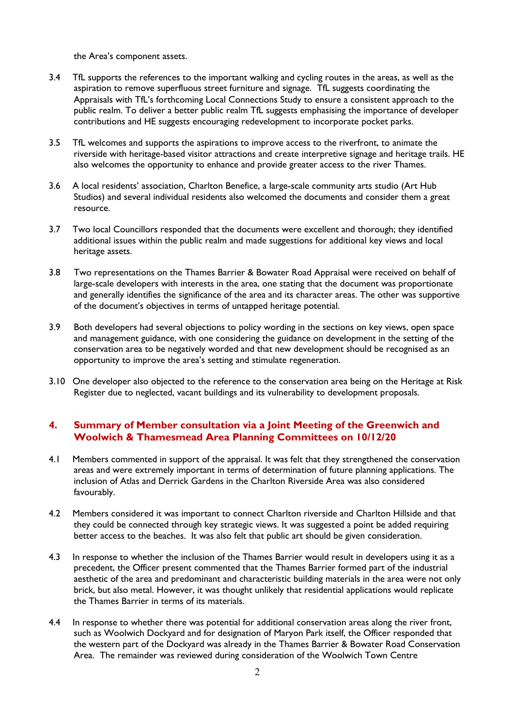the Area's component assets.

- 3.4 TfL supports the references to the important walking and cycling routes in the areas, as well as the aspiration to remove superfluous street furniture and signage. TfL suggests coordinating the Appraisals with TfL's forthcoming Local Connections Study to ensure a consistent approach to the public realm. To deliver a better public realm TfL suggests emphasising the importance of developer contributions and HE suggests encouraging redevelopment to incorporate pocket parks.
- 3.5 TfL welcomes and supports the aspirations to improve access to the riverfront, to animate the riverside with heritage-based visitor attractions and create interpretive signage and heritage trails. HE also welcomes the opportunity to enhance and provide greater access to the river Thames.
- 3.6 A local residents' association, Charlton Benefice, a large-scale community arts studio (Art Hub Studios) and several individual residents also welcomed the documents and consider them a great resource.
- 3.7 Two local Councillors responded that the documents were excellent and thorough; they identified additional issues within the public realm and made suggestions for additional key views and local heritage assets.
- 3.8 Two representations on the Thames Barrier & Bowater Road Appraisal were received on behalf of large-scale developers with interests in the area, one stating that the document was proportionate and generally identifies the significance of the area and its character areas. The other was supportive of the document's objectives in terms of untapped heritage potential.
- 3.9 Both developers had several objections to policy wording in the sections on key views, open space and management guidance, with one considering the guidance on development in the setting of the conservation area to be negatively worded and that new development should be recognised as an opportunity to improve the area's setting and stimulate regeneration.
- 3.10 One developer also objected to the reference to the conservation area being on the Heritage at Risk Register due to neglected, vacant buildings and its vulnerability to development proposals.

### **4. Summary of Member consultation via a Joint Meeting of the Greenwich and Woolwich & Thamesmead Area Planning Committees on 10/12/20**

- 4.1 Members commented in support of the appraisal. It was felt that they strengthened the conservation areas and were extremely important in terms of determination of future planning applications. The inclusion of Atlas and Derrick Gardens in the Charlton Riverside Area was also considered favourably.
- 4.2 Members considered it was important to connect Charlton riverside and Charlton Hillside and that they could be connected through key strategic views. It was suggested a point be added requiring better access to the beaches. It was also felt that public art should be given consideration.
- 4.3 In response to whether the inclusion of the Thames Barrier would result in developers using it as a precedent, the Officer present commented that the Thames Barrier formed part of the industrial aesthetic of the area and predominant and characteristic building materials in the area were not only brick, but also metal. However, it was thought unlikely that residential applications would replicate the Thames Barrier in terms of its materials.
- 4.4 In response to whether there was potential for additional conservation areas along the river front, such as Woolwich Dockyard and for designation of Maryon Park itself, the Officer responded that the western part of the Dockyard was already in the Thames Barrier & Bowater Road Conservation Area. The remainder was reviewed during consideration of the Woolwich Town Centre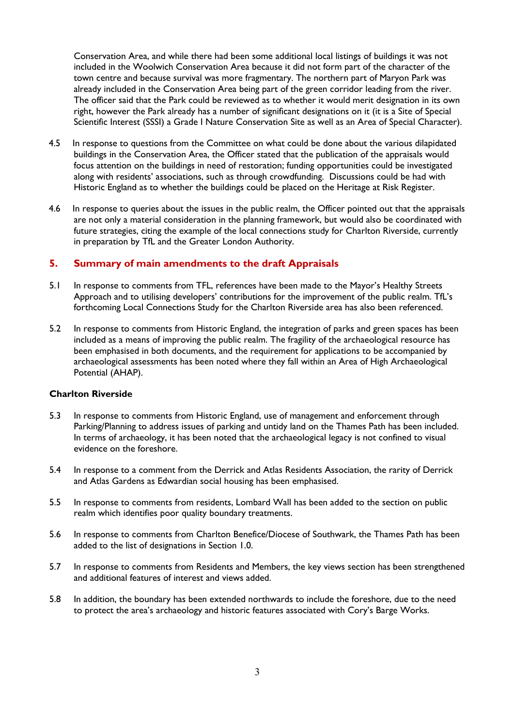Conservation Area, and while there had been some additional local listings of buildings it was not included in the Woolwich Conservation Area because it did not form part of the character of the town centre and because survival was more fragmentary. The northern part of Maryon Park was already included in the Conservation Area being part of the green corridor leading from the river. The officer said that the Park could be reviewed as to whether it would merit designation in its own right, however the Park already has a number of significant designations on it (it is a Site of Special Scientific Interest (SSSI) a Grade I Nature Conservation Site as well as an Area of Special Character).

- 4.5 In response to questions from the Committee on what could be done about the various dilapidated buildings in the Conservation Area, the Officer stated that the publication of the appraisals would focus attention on the buildings in need of restoration; funding opportunities could be investigated along with residents' associations, such as through crowdfunding. Discussions could be had with Historic England as to whether the buildings could be placed on the Heritage at Risk Register.
- 4.6 In response to queries about the issues in the public realm, the Officer pointed out that the appraisals are not only a material consideration in the planning framework, but would also be coordinated with future strategies, citing the example of the local connections study for Charlton Riverside, currently in preparation by TfL and the Greater London Authority.

### **5. Summary of main amendments to the draft Appraisals**

- 5.1 In response to comments from TFL, references have been made to the Mayor's Healthy Streets Approach and to utilising developers' contributions for the improvement of the public realm. TfL's forthcoming Local Connections Study for the Charlton Riverside area has also been referenced.
- 5.2 In response to comments from Historic England, the integration of parks and green spaces has been included as a means of improving the public realm. The fragility of the archaeological resource has been emphasised in both documents, and the requirement for applications to be accompanied by archaeological assessments has been noted where they fall within an Area of High Archaeological Potential (AHAP).

#### **Charlton Riverside**

- 5.3 In response to comments from Historic England, use of management and enforcement through Parking/Planning to address issues of parking and untidy land on the Thames Path has been included. In terms of archaeology, it has been noted that the archaeological legacy is not confined to visual evidence on the foreshore.
- 5.4 In response to a comment from the Derrick and Atlas Residents Association, the rarity of Derrick and Atlas Gardens as Edwardian social housing has been emphasised.
- 5.5 In response to comments from residents, Lombard Wall has been added to the section on public realm which identifies poor quality boundary treatments.
- 5.6 In response to comments from Charlton Benefice/Diocese of Southwark, the Thames Path has been added to the list of designations in Section 1.0.
- 5.7 In response to comments from Residents and Members, the key views section has been strengthened and additional features of interest and views added.
- 5.8 In addition, the boundary has been extended northwards to include the foreshore, due to the need to protect the area's archaeology and historic features associated with Cory's Barge Works.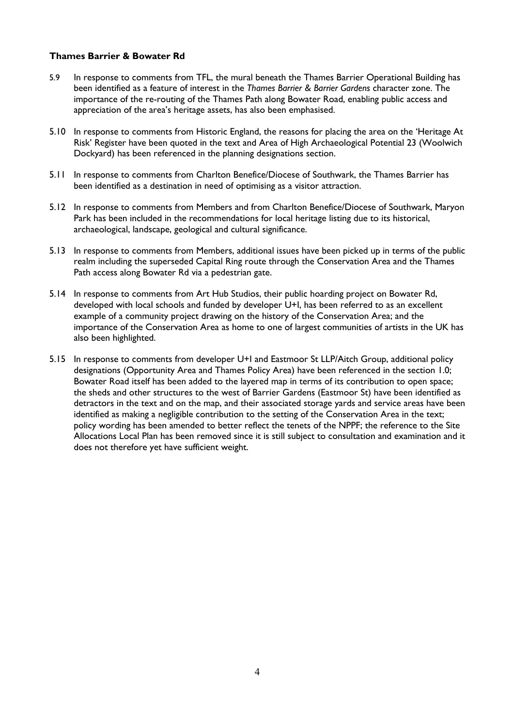### **Thames Barrier & Bowater Rd**

- 5.9 In response to comments from TFL, the mural beneath the Thames Barrier Operational Building has been identified as a feature of interest in the *Thames Barrier & Barrier Gardens* character zone. The importance of the re-routing of the Thames Path along Bowater Road, enabling public access and appreciation of the area's heritage assets, has also been emphasised.
- 5.10 In response to comments from Historic England, the reasons for placing the area on the 'Heritage At Risk' Register have been quoted in the text and Area of High Archaeological Potential 23 (Woolwich Dockyard) has been referenced in the planning designations section.
- 5.11 In response to comments from Charlton Benefice/Diocese of Southwark, the Thames Barrier has been identified as a destination in need of optimising as a visitor attraction.
- 5.12 In response to comments from Members and from Charlton Benefice/Diocese of Southwark, Maryon Park has been included in the recommendations for local heritage listing due to its historical, archaeological, landscape, geological and cultural significance.
- 5.13 In response to comments from Members, additional issues have been picked up in terms of the public realm including the superseded Capital Ring route through the Conservation Area and the Thames Path access along Bowater Rd via a pedestrian gate.
- 5.14 In response to comments from Art Hub Studios, their public hoarding project on Bowater Rd, developed with local schools and funded by developer U+I, has been referred to as an excellent example of a community project drawing on the history of the Conservation Area; and the importance of the Conservation Area as home to one of largest communities of artists in the UK has also been highlighted.
- 5.15 In response to comments from developer U+I and Eastmoor St LLP/Aitch Group, additional policy designations (Opportunity Area and Thames Policy Area) have been referenced in the section 1.0; Bowater Road itself has been added to the layered map in terms of its contribution to open space; the sheds and other structures to the west of Barrier Gardens (Eastmoor St) have been identified as detractors in the text and on the map, and their associated storage yards and service areas have been identified as making a negligible contribution to the setting of the Conservation Area in the text; policy wording has been amended to better reflect the tenets of the NPPF; the reference to the Site Allocations Local Plan has been removed since it is still subject to consultation and examination and it does not therefore yet have sufficient weight.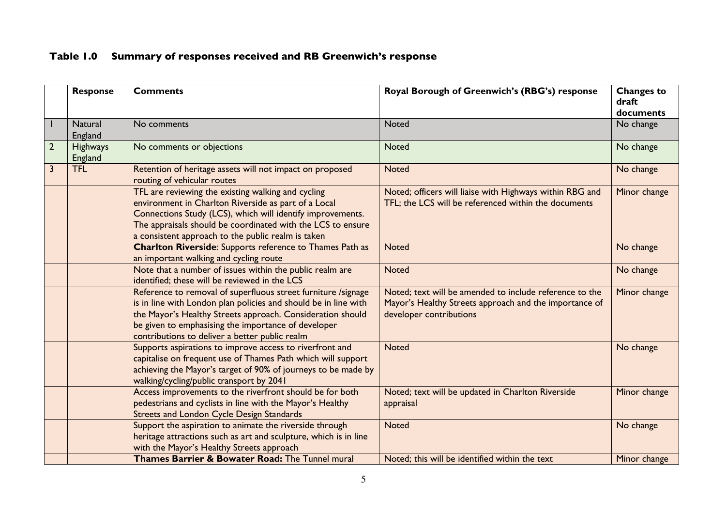# **Table 1.0 Summary of responses received and RB Greenwich's response**

|                | <b>Response</b>            | <b>Comments</b>                                                                                                                                                                                                                                                                                         | Royal Borough of Greenwich's (RBG's) response                                                                                                | <b>Changes to</b><br>draft<br>documents |
|----------------|----------------------------|---------------------------------------------------------------------------------------------------------------------------------------------------------------------------------------------------------------------------------------------------------------------------------------------------------|----------------------------------------------------------------------------------------------------------------------------------------------|-----------------------------------------|
|                | <b>Natural</b><br>England  | No comments                                                                                                                                                                                                                                                                                             | Noted                                                                                                                                        | No change                               |
| $\overline{2}$ | <b>Highways</b><br>England | No comments or objections                                                                                                                                                                                                                                                                               | <b>Noted</b>                                                                                                                                 | No change                               |
| 3              | <b>TFL</b>                 | Retention of heritage assets will not impact on proposed<br>routing of vehicular routes                                                                                                                                                                                                                 | <b>Noted</b>                                                                                                                                 | No change                               |
|                |                            | TFL are reviewing the existing walking and cycling<br>environment in Charlton Riverside as part of a Local<br>Connections Study (LCS), which will identify improvements.<br>The appraisals should be coordinated with the LCS to ensure<br>a consistent approach to the public realm is taken           | Noted; officers will liaise with Highways within RBG and<br>TFL; the LCS will be referenced within the documents                             | Minor change                            |
|                |                            | <b>Charlton Riverside:</b> Supports reference to Thames Path as<br>an important walking and cycling route                                                                                                                                                                                               | <b>Noted</b>                                                                                                                                 | No change                               |
|                |                            | Note that a number of issues within the public realm are<br>identified; these will be reviewed in the LCS                                                                                                                                                                                               | <b>Noted</b>                                                                                                                                 | No change                               |
|                |                            | Reference to removal of superfluous street furniture /signage<br>is in line with London plan policies and should be in line with<br>the Mayor's Healthy Streets approach. Consideration should<br>be given to emphasising the importance of developer<br>contributions to deliver a better public realm | Noted; text will be amended to include reference to the<br>Mayor's Healthy Streets approach and the importance of<br>developer contributions | Minor change                            |
|                |                            | Supports aspirations to improve access to riverfront and<br>capitalise on frequent use of Thames Path which will support<br>achieving the Mayor's target of 90% of journeys to be made by<br>walking/cycling/public transport by 2041                                                                   | <b>Noted</b>                                                                                                                                 | No change                               |
|                |                            | Access improvements to the riverfront should be for both<br>pedestrians and cyclists in line with the Mayor's Healthy<br><b>Streets and London Cycle Design Standards</b>                                                                                                                               | Noted; text will be updated in Charlton Riverside<br>appraisal                                                                               | Minor change                            |
|                |                            | Support the aspiration to animate the riverside through<br>heritage attractions such as art and sculpture, which is in line<br>with the Mayor's Healthy Streets approach                                                                                                                                | <b>Noted</b>                                                                                                                                 | No change                               |
|                |                            | Thames Barrier & Bowater Road: The Tunnel mural                                                                                                                                                                                                                                                         | Noted; this will be identified within the text                                                                                               | Minor change                            |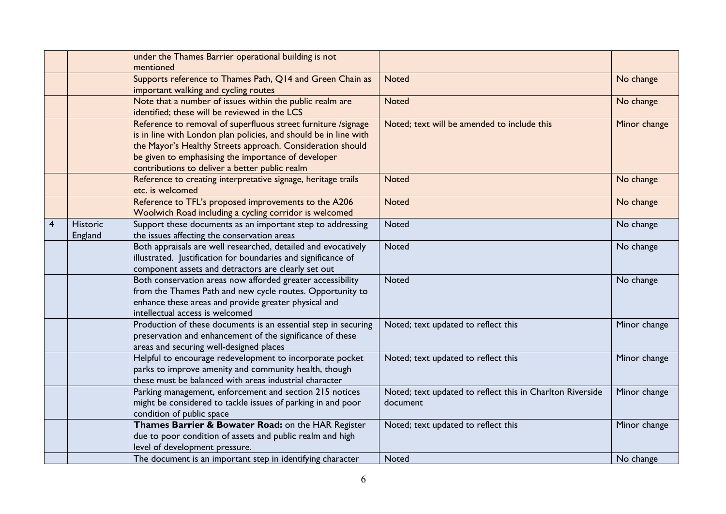|                |                            | under the Thames Barrier operational building is not<br>mentioned                                                                                                                                                                                                                                        |                                                                       |              |
|----------------|----------------------------|----------------------------------------------------------------------------------------------------------------------------------------------------------------------------------------------------------------------------------------------------------------------------------------------------------|-----------------------------------------------------------------------|--------------|
|                |                            | Supports reference to Thames Path, Q14 and Green Chain as<br>important walking and cycling routes                                                                                                                                                                                                        | <b>Noted</b>                                                          | No change    |
|                |                            | Note that a number of issues within the public realm are<br>identified; these will be reviewed in the LCS                                                                                                                                                                                                | <b>Noted</b>                                                          | No change    |
|                |                            | Reference to removal of superfluous street furniture /signage<br>is in line with London plan policies, and should be in line with<br>the Mayor's Healthy Streets approach. Consideration should<br>be given to emphasising the importance of developer<br>contributions to deliver a better public realm | Noted; text will be amended to include this                           | Minor change |
|                |                            | Reference to creating interpretative signage, heritage trails<br>etc. is welcomed                                                                                                                                                                                                                        | <b>Noted</b>                                                          | No change    |
|                |                            | Reference to TFL's proposed improvements to the A206<br>Woolwich Road including a cycling corridor is welcomed                                                                                                                                                                                           | <b>Noted</b>                                                          | No change    |
| $\overline{4}$ | <b>Historic</b><br>England | Support these documents as an important step to addressing<br>the issues affecting the conservation areas                                                                                                                                                                                                | <b>Noted</b>                                                          | No change    |
|                |                            | Both appraisals are well researched, detailed and evocatively<br>illustrated. Justification for boundaries and significance of<br>component assets and detractors are clearly set out                                                                                                                    | <b>Noted</b>                                                          | No change    |
|                |                            | Both conservation areas now afforded greater accessibility<br>from the Thames Path and new cycle routes. Opportunity to<br>enhance these areas and provide greater physical and<br>intellectual access is welcomed                                                                                       | <b>Noted</b>                                                          | No change    |
|                |                            | Production of these documents is an essential step in securing<br>preservation and enhancement of the significance of these<br>areas and securing well-designed places                                                                                                                                   | Noted; text updated to reflect this                                   | Minor change |
|                |                            | Helpful to encourage redevelopment to incorporate pocket<br>parks to improve amenity and community health, though<br>these must be balanced with areas industrial character                                                                                                                              | Noted; text updated to reflect this                                   | Minor change |
|                |                            | Parking management, enforcement and section 215 notices<br>might be considered to tackle issues of parking in and poor<br>condition of public space                                                                                                                                                      | Noted; text updated to reflect this in Charlton Riverside<br>document | Minor change |
|                |                            | Thames Barrier & Bowater Road: on the HAR Register<br>due to poor condition of assets and public realm and high<br>level of development pressure.                                                                                                                                                        | Noted; text updated to reflect this                                   | Minor change |
|                |                            | The document is an important step in identifying character                                                                                                                                                                                                                                               | <b>Noted</b>                                                          | No change    |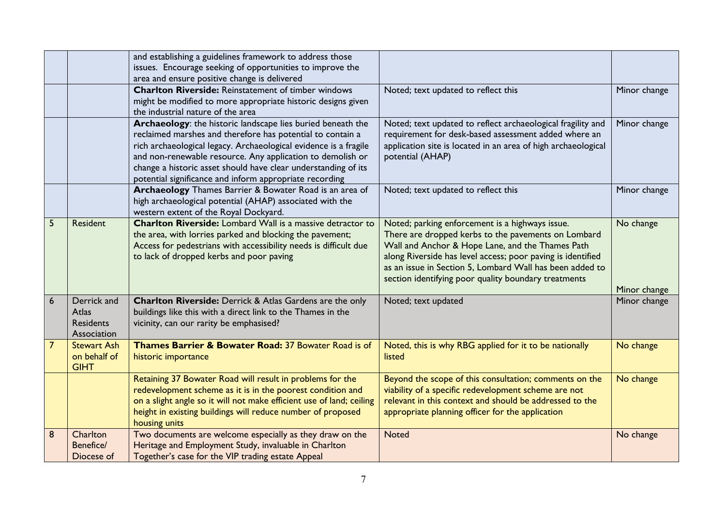|                |                                                                | and establishing a guidelines framework to address those<br>issues. Encourage seeking of opportunities to improve the<br>area and ensure positive change is delivered                                                                                                                                                                                                                    |                                                                                                                                                                                                                                                                                                                                               |                           |
|----------------|----------------------------------------------------------------|------------------------------------------------------------------------------------------------------------------------------------------------------------------------------------------------------------------------------------------------------------------------------------------------------------------------------------------------------------------------------------------|-----------------------------------------------------------------------------------------------------------------------------------------------------------------------------------------------------------------------------------------------------------------------------------------------------------------------------------------------|---------------------------|
|                |                                                                | <b>Charlton Riverside: Reinstatement of timber windows</b><br>might be modified to more appropriate historic designs given<br>the industrial nature of the area                                                                                                                                                                                                                          | Noted; text updated to reflect this                                                                                                                                                                                                                                                                                                           | Minor change              |
|                |                                                                | Archaeology: the historic landscape lies buried beneath the<br>reclaimed marshes and therefore has potential to contain a<br>rich archaeological legacy. Archaeological evidence is a fragile<br>and non-renewable resource. Any application to demolish or<br>change a historic asset should have clear understanding of its<br>potential significance and inform appropriate recording | Noted; text updated to reflect archaeological fragility and<br>requirement for desk-based assessment added where an<br>application site is located in an area of high archaeological<br>potential (AHAP)                                                                                                                                      | Minor change              |
|                |                                                                | Archaeology Thames Barrier & Bowater Road is an area of<br>high archaeological potential (AHAP) associated with the<br>western extent of the Royal Dockyard.                                                                                                                                                                                                                             | Noted; text updated to reflect this                                                                                                                                                                                                                                                                                                           | Minor change              |
| 5              | Resident                                                       | <b>Charlton Riverside:</b> Lombard Wall is a massive detractor to<br>the area, with lorries parked and blocking the pavement;<br>Access for pedestrians with accessibility needs is difficult due<br>to lack of dropped kerbs and poor paving                                                                                                                                            | Noted; parking enforcement is a highways issue.<br>There are dropped kerbs to the pavements on Lombard<br>Wall and Anchor & Hope Lane, and the Thames Path<br>along Riverside has level access; poor paving is identified<br>as an issue in Section 5, Lombard Wall has been added to<br>section identifying poor quality boundary treatments | No change<br>Minor change |
| 6              | Derrick and<br><b>Atlas</b><br><b>Residents</b><br>Association | <b>Charlton Riverside:</b> Derrick & Atlas Gardens are the only<br>buildings like this with a direct link to the Thames in the<br>vicinity, can our rarity be emphasised?                                                                                                                                                                                                                | Noted; text updated                                                                                                                                                                                                                                                                                                                           | Minor change              |
| $\overline{7}$ | <b>Stewart Ash</b><br>on behalf of<br><b>GIHT</b>              | Thames Barrier & Bowater Road: 37 Bowater Road is of<br>historic importance                                                                                                                                                                                                                                                                                                              | Noted, this is why RBG applied for it to be nationally<br>listed                                                                                                                                                                                                                                                                              | No change                 |
|                |                                                                | Retaining 37 Bowater Road will result in problems for the<br>redevelopment scheme as it is in the poorest condition and<br>on a slight angle so it will not make efficient use of land; ceiling<br>height in existing buildings will reduce number of proposed<br>housing units                                                                                                          | Beyond the scope of this consultation; comments on the<br>viability of a specific redevelopment scheme are not<br>relevant in this context and should be addressed to the<br>appropriate planning officer for the application                                                                                                                 | No change                 |
| 8              | Charlton<br>Benefice/<br>Diocese of                            | Two documents are welcome especially as they draw on the<br>Heritage and Employment Study, invaluable in Charlton<br>Together's case for the VIP trading estate Appeal                                                                                                                                                                                                                   | <b>Noted</b>                                                                                                                                                                                                                                                                                                                                  | No change                 |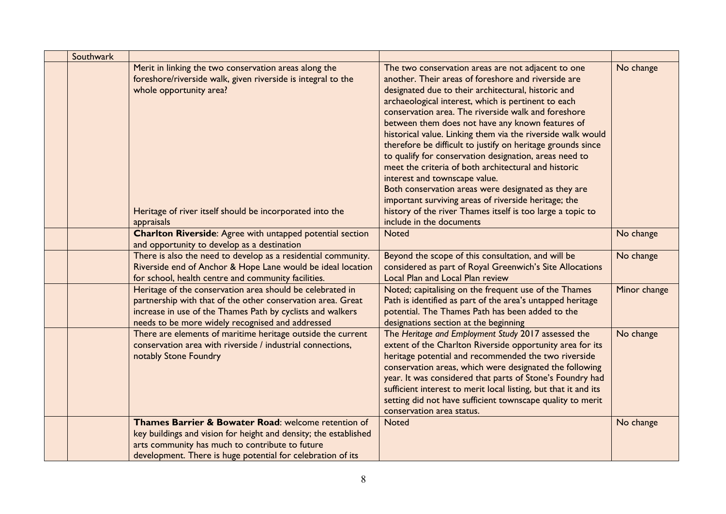| Southwark |                                                                                                                                                                                                                                            |                                                                                                                                                                                                                                                                                                                                                                                                                                                                                                                                                                                                                                                                                                                                                                                                                              |              |
|-----------|--------------------------------------------------------------------------------------------------------------------------------------------------------------------------------------------------------------------------------------------|------------------------------------------------------------------------------------------------------------------------------------------------------------------------------------------------------------------------------------------------------------------------------------------------------------------------------------------------------------------------------------------------------------------------------------------------------------------------------------------------------------------------------------------------------------------------------------------------------------------------------------------------------------------------------------------------------------------------------------------------------------------------------------------------------------------------------|--------------|
|           | Merit in linking the two conservation areas along the<br>foreshore/riverside walk, given riverside is integral to the<br>whole opportunity area?<br>Heritage of river itself should be incorporated into the<br>appraisals                 | The two conservation areas are not adjacent to one<br>another. Their areas of foreshore and riverside are<br>designated due to their architectural, historic and<br>archaeological interest, which is pertinent to each<br>conservation area. The riverside walk and foreshore<br>between them does not have any known features of<br>historical value. Linking them via the riverside walk would<br>therefore be difficult to justify on heritage grounds since<br>to qualify for conservation designation, areas need to<br>meet the criteria of both architectural and historic<br>interest and townscape value.<br>Both conservation areas were designated as they are<br>important surviving areas of riverside heritage; the<br>history of the river Thames itself is too large a topic to<br>include in the documents | No change    |
|           | <b>Charlton Riverside:</b> Agree with untapped potential section<br>and opportunity to develop as a destination                                                                                                                            | <b>Noted</b>                                                                                                                                                                                                                                                                                                                                                                                                                                                                                                                                                                                                                                                                                                                                                                                                                 | No change    |
|           | There is also the need to develop as a residential community.<br>Riverside end of Anchor & Hope Lane would be ideal location<br>for school, health centre and community facilities.                                                        | Beyond the scope of this consultation, and will be<br>considered as part of Royal Greenwich's Site Allocations<br><b>Local Plan and Local Plan review</b>                                                                                                                                                                                                                                                                                                                                                                                                                                                                                                                                                                                                                                                                    | No change    |
|           | Heritage of the conservation area should be celebrated in<br>partnership with that of the other conservation area. Great<br>increase in use of the Thames Path by cyclists and walkers<br>needs to be more widely recognised and addressed | Noted; capitalising on the frequent use of the Thames<br>Path is identified as part of the area's untapped heritage<br>potential. The Thames Path has been added to the<br>designations section at the beginning                                                                                                                                                                                                                                                                                                                                                                                                                                                                                                                                                                                                             | Minor change |
|           | There are elements of maritime heritage outside the current<br>conservation area with riverside / industrial connections,<br>notably Stone Foundry                                                                                         | The Heritage and Employment Study 2017 assessed the<br>extent of the Charlton Riverside opportunity area for its<br>heritage potential and recommended the two riverside<br>conservation areas, which were designated the following<br>year. It was considered that parts of Stone's Foundry had<br>sufficient interest to merit local listing, but that it and its<br>setting did not have sufficient townscape quality to merit<br>conservation area status.                                                                                                                                                                                                                                                                                                                                                               | No change    |
|           | Thames Barrier & Bowater Road: welcome retention of<br>key buildings and vision for height and density; the established<br>arts community has much to contribute to future<br>development. There is huge potential for celebration of its  | <b>Noted</b>                                                                                                                                                                                                                                                                                                                                                                                                                                                                                                                                                                                                                                                                                                                                                                                                                 | No change    |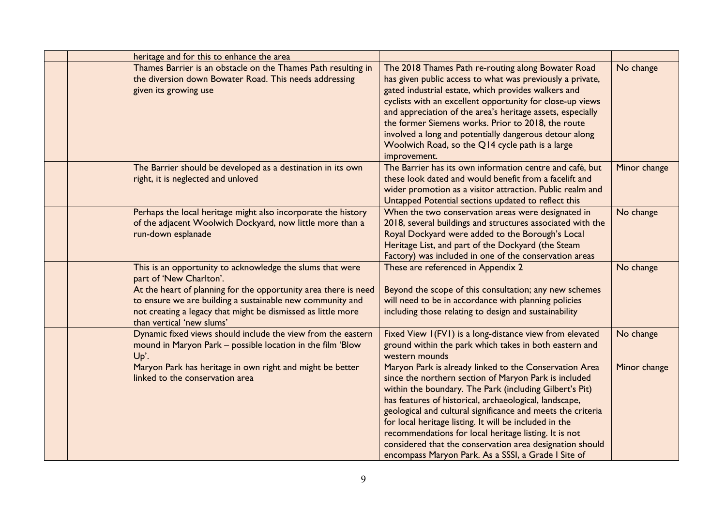| heritage and for this to enhance the area                                                                                                                                                                                                                                                                         |                                                                                                                                                                                                                                                                                                                                                                                                                                                                                                                                                                                                                                                                                  |                           |
|-------------------------------------------------------------------------------------------------------------------------------------------------------------------------------------------------------------------------------------------------------------------------------------------------------------------|----------------------------------------------------------------------------------------------------------------------------------------------------------------------------------------------------------------------------------------------------------------------------------------------------------------------------------------------------------------------------------------------------------------------------------------------------------------------------------------------------------------------------------------------------------------------------------------------------------------------------------------------------------------------------------|---------------------------|
| Thames Barrier is an obstacle on the Thames Path resulting in<br>the diversion down Bowater Road. This needs addressing<br>given its growing use                                                                                                                                                                  | The 2018 Thames Path re-routing along Bowater Road<br>has given public access to what was previously a private,<br>gated industrial estate, which provides walkers and<br>cyclists with an excellent opportunity for close-up views<br>and appreciation of the area's heritage assets, especially<br>the former Siemens works. Prior to 2018, the route<br>involved a long and potentially dangerous detour along<br>Woolwich Road, so the Q14 cycle path is a large<br>improvement.                                                                                                                                                                                             | No change                 |
| The Barrier should be developed as a destination in its own<br>right, it is neglected and unloved                                                                                                                                                                                                                 | The Barrier has its own information centre and café, but<br>these look dated and would benefit from a facelift and<br>wider promotion as a visitor attraction. Public realm and<br>Untapped Potential sections updated to reflect this                                                                                                                                                                                                                                                                                                                                                                                                                                           | Minor change              |
| Perhaps the local heritage might also incorporate the history<br>of the adjacent Woolwich Dockyard, now little more than a<br>run-down esplanade                                                                                                                                                                  | When the two conservation areas were designated in<br>2018, several buildings and structures associated with the<br>Royal Dockyard were added to the Borough's Local<br>Heritage List, and part of the Dockyard (the Steam<br>Factory) was included in one of the conservation areas                                                                                                                                                                                                                                                                                                                                                                                             | No change                 |
| This is an opportunity to acknowledge the slums that were<br>part of 'New Charlton'.<br>At the heart of planning for the opportunity area there is need<br>to ensure we are building a sustainable new community and<br>not creating a legacy that might be dismissed as little more<br>than vertical 'new slums' | These are referenced in Appendix 2<br>Beyond the scope of this consultation; any new schemes<br>will need to be in accordance with planning policies<br>including those relating to design and sustainability                                                                                                                                                                                                                                                                                                                                                                                                                                                                    | No change                 |
| Dynamic fixed views should include the view from the eastern<br>mound in Maryon Park - possible location in the film 'Blow<br>Up'.<br>Maryon Park has heritage in own right and might be better<br>linked to the conservation area                                                                                | Fixed View I(FVI) is a long-distance view from elevated<br>ground within the park which takes in both eastern and<br>western mounds<br>Maryon Park is already linked to the Conservation Area<br>since the northern section of Maryon Park is included<br>within the boundary. The Park (including Gilbert's Pit)<br>has features of historical, archaeological, landscape,<br>geological and cultural significance and meets the criteria<br>for local heritage listing. It will be included in the<br>recommendations for local heritage listing. It is not<br>considered that the conservation area designation should<br>encompass Maryon Park. As a SSSI, a Grade I Site of | No change<br>Minor change |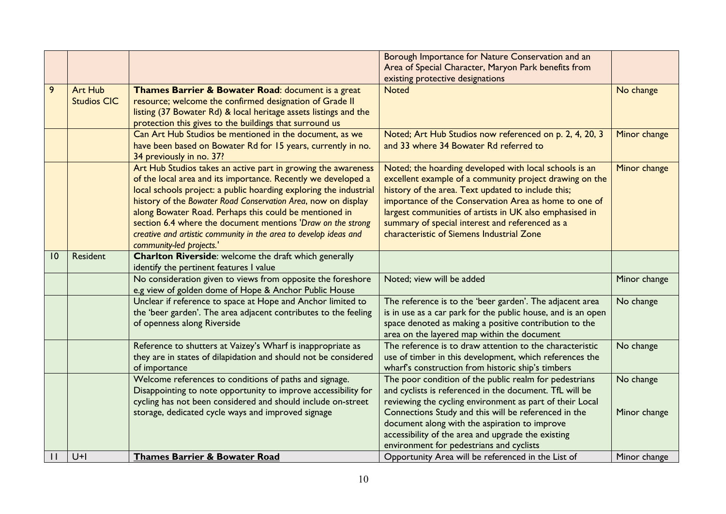|              |                                      |                                                                                                                                                                                                                                                                                                                                                                                                                                                                                               | Borough Importance for Nature Conservation and an<br>Area of Special Character, Maryon Park benefits from<br>existing protective designations                                                                                                                                                                                                                                               |              |
|--------------|--------------------------------------|-----------------------------------------------------------------------------------------------------------------------------------------------------------------------------------------------------------------------------------------------------------------------------------------------------------------------------------------------------------------------------------------------------------------------------------------------------------------------------------------------|---------------------------------------------------------------------------------------------------------------------------------------------------------------------------------------------------------------------------------------------------------------------------------------------------------------------------------------------------------------------------------------------|--------------|
| 9            | <b>Art Hub</b><br><b>Studios CIC</b> | Thames Barrier & Bowater Road: document is a great<br>resource; welcome the confirmed designation of Grade II<br>listing (37 Bowater Rd) & local heritage assets listings and the<br>protection this gives to the buildings that surround us                                                                                                                                                                                                                                                  | <b>Noted</b>                                                                                                                                                                                                                                                                                                                                                                                | No change    |
|              |                                      | Can Art Hub Studios be mentioned in the document, as we<br>have been based on Bowater Rd for 15 years, currently in no.<br>34 previously in no. 37?                                                                                                                                                                                                                                                                                                                                           | Noted; Art Hub Studios now referenced on p. 2, 4, 20, 3<br>and 33 where 34 Bowater Rd referred to                                                                                                                                                                                                                                                                                           | Minor change |
|              |                                      | Art Hub Studios takes an active part in growing the awareness<br>of the local area and its importance. Recently we developed a<br>local schools project: a public hoarding exploring the industrial<br>history of the Bowater Road Conservation Area, now on display<br>along Bowater Road. Perhaps this could be mentioned in<br>section 6.4 where the document mentions 'Draw on the strong<br>creative and artistic community in the area to develop ideas and<br>community-led projects.' | Noted; the hoarding developed with local schools is an<br>excellent example of a community project drawing on the<br>history of the area. Text updated to include this;<br>importance of the Conservation Area as home to one of<br>largest communities of artists in UK also emphasised in<br>summary of special interest and referenced as a<br>characteristic of Siemens Industrial Zone | Minor change |
| 0            | Resident                             | <b>Charlton Riverside:</b> welcome the draft which generally<br>identify the pertinent features I value                                                                                                                                                                                                                                                                                                                                                                                       |                                                                                                                                                                                                                                                                                                                                                                                             |              |
|              |                                      | No consideration given to views from opposite the foreshore<br>e.g view of golden dome of Hope & Anchor Public House                                                                                                                                                                                                                                                                                                                                                                          | Noted; view will be added                                                                                                                                                                                                                                                                                                                                                                   | Minor change |
|              |                                      | Unclear if reference to space at Hope and Anchor limited to<br>the 'beer garden'. The area adjacent contributes to the feeling<br>of openness along Riverside                                                                                                                                                                                                                                                                                                                                 | The reference is to the 'beer garden'. The adjacent area<br>is in use as a car park for the public house, and is an open<br>space denoted as making a positive contribution to the<br>area on the layered map within the document                                                                                                                                                           | No change    |
|              |                                      | Reference to shutters at Vaizey's Wharf is inappropriate as<br>they are in states of dilapidation and should not be considered<br>of importance                                                                                                                                                                                                                                                                                                                                               | The reference is to draw attention to the characteristic<br>use of timber in this development, which references the<br>wharf's construction from historic ship's timbers                                                                                                                                                                                                                    | No change    |
|              |                                      | Welcome references to conditions of paths and signage.<br>Disappointing to note opportunity to improve accessibility for<br>cycling has not been considered and should include on-street                                                                                                                                                                                                                                                                                                      | The poor condition of the public realm for pedestrians<br>and cyclists is referenced in the document. TfL will be<br>reviewing the cycling environment as part of their Local                                                                                                                                                                                                               | No change    |
|              |                                      | storage, dedicated cycle ways and improved signage                                                                                                                                                                                                                                                                                                                                                                                                                                            | Connections Study and this will be referenced in the<br>document along with the aspiration to improve<br>accessibility of the area and upgrade the existing<br>environment for pedestrians and cyclists                                                                                                                                                                                     | Minor change |
| $\mathsf{I}$ | $U+I$                                | <b>Thames Barrier &amp; Bowater Road</b>                                                                                                                                                                                                                                                                                                                                                                                                                                                      | Opportunity Area will be referenced in the List of                                                                                                                                                                                                                                                                                                                                          | Minor change |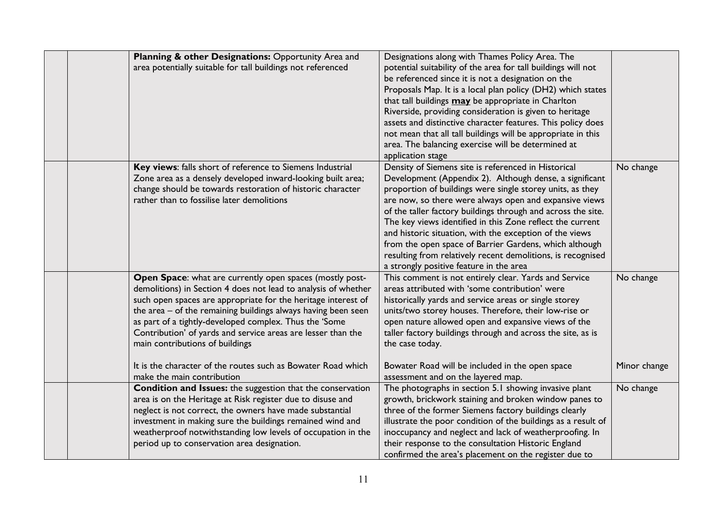| Planning & other Designations: Opportunity Area and<br>area potentially suitable for tall buildings not referenced                                                                                                                                                                                                                                                                                                                                                                                                      | Designations along with Thames Policy Area. The<br>potential suitability of the area for tall buildings will not<br>be referenced since it is not a designation on the<br>Proposals Map. It is a local plan policy (DH2) which states<br>that tall buildings may be appropriate in Charlton<br>Riverside, providing consideration is given to heritage<br>assets and distinctive character features. This policy does<br>not mean that all tall buildings will be appropriate in this<br>area. The balancing exercise will be determined at<br>application stage                                  |                           |
|-------------------------------------------------------------------------------------------------------------------------------------------------------------------------------------------------------------------------------------------------------------------------------------------------------------------------------------------------------------------------------------------------------------------------------------------------------------------------------------------------------------------------|---------------------------------------------------------------------------------------------------------------------------------------------------------------------------------------------------------------------------------------------------------------------------------------------------------------------------------------------------------------------------------------------------------------------------------------------------------------------------------------------------------------------------------------------------------------------------------------------------|---------------------------|
| Key views: falls short of reference to Siemens Industrial<br>Zone area as a densely developed inward-looking built area;<br>change should be towards restoration of historic character<br>rather than to fossilise later demolitions                                                                                                                                                                                                                                                                                    | Density of Siemens site is referenced in Historical<br>Development (Appendix 2). Although dense, a significant<br>proportion of buildings were single storey units, as they<br>are now, so there were always open and expansive views<br>of the taller factory buildings through and across the site.<br>The key views identified in this Zone reflect the current<br>and historic situation, with the exception of the views<br>from the open space of Barrier Gardens, which although<br>resulting from relatively recent demolitions, is recognised<br>a strongly positive feature in the area | No change                 |
| Open Space: what are currently open spaces (mostly post-<br>demolitions) in Section 4 does not lead to analysis of whether<br>such open spaces are appropriate for the heritage interest of<br>the area - of the remaining buildings always having been seen<br>as part of a tightly-developed complex. Thus the 'Some<br>Contribution' of yards and service areas are lesser than the<br>main contributions of buildings<br>It is the character of the routes such as Bowater Road which<br>make the main contribution | This comment is not entirely clear. Yards and Service<br>areas attributed with 'some contribution' were<br>historically yards and service areas or single storey<br>units/two storey houses. Therefore, their low-rise or<br>open nature allowed open and expansive views of the<br>taller factory buildings through and across the site, as is<br>the case today.<br>Bowater Road will be included in the open space<br>assessment and on the layered map.                                                                                                                                       | No change<br>Minor change |
| Condition and Issues: the suggestion that the conservation<br>area is on the Heritage at Risk register due to disuse and<br>neglect is not correct, the owners have made substantial<br>investment in making sure the buildings remained wind and<br>weatherproof notwithstanding low levels of occupation in the<br>period up to conservation area designation.                                                                                                                                                        | The photographs in section 5.1 showing invasive plant<br>growth, brickwork staining and broken window panes to<br>three of the former Siemens factory buildings clearly<br>illustrate the poor condition of the buildings as a result of<br>inoccupancy and neglect and lack of weatherproofing. In<br>their response to the consultation Historic England<br>confirmed the area's placement on the register due to                                                                                                                                                                               | No change                 |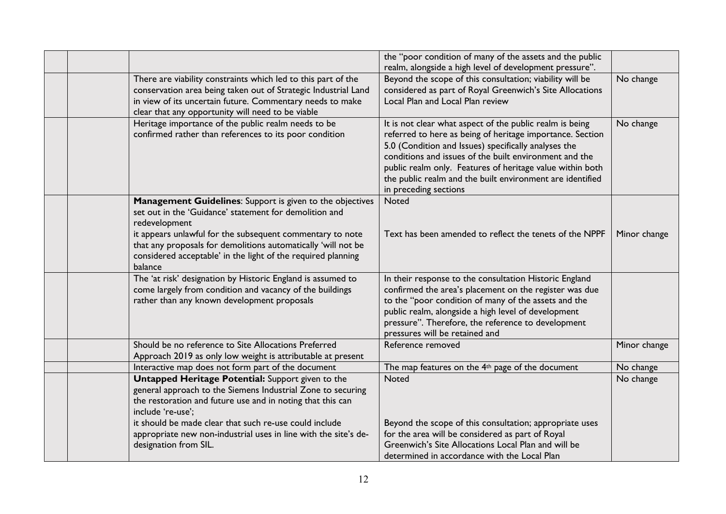|                                                                                                                                                                                                                                                                                                                                               | the "poor condition of many of the assets and the public<br>realm, alongside a high level of development pressure".                                                                                                                                                                                                                                                                        |              |
|-----------------------------------------------------------------------------------------------------------------------------------------------------------------------------------------------------------------------------------------------------------------------------------------------------------------------------------------------|--------------------------------------------------------------------------------------------------------------------------------------------------------------------------------------------------------------------------------------------------------------------------------------------------------------------------------------------------------------------------------------------|--------------|
| There are viability constraints which led to this part of the<br>conservation area being taken out of Strategic Industrial Land<br>in view of its uncertain future. Commentary needs to make<br>clear that any opportunity will need to be viable                                                                                             | Beyond the scope of this consultation; viability will be<br>considered as part of Royal Greenwich's Site Allocations<br>Local Plan and Local Plan review                                                                                                                                                                                                                                   | No change    |
| Heritage importance of the public realm needs to be<br>confirmed rather than references to its poor condition                                                                                                                                                                                                                                 | It is not clear what aspect of the public realm is being<br>referred to here as being of heritage importance. Section<br>5.0 (Condition and Issues) specifically analyses the<br>conditions and issues of the built environment and the<br>public realm only. Features of heritage value within both<br>the public realm and the built environment are identified<br>in preceding sections | No change    |
| Management Guidelines: Support is given to the objectives<br>set out in the 'Guidance' statement for demolition and<br>redevelopment<br>it appears unlawful for the subsequent commentary to note<br>that any proposals for demolitions automatically 'will not be<br>considered acceptable' in the light of the required planning<br>balance | <b>Noted</b><br>Text has been amended to reflect the tenets of the NPPF                                                                                                                                                                                                                                                                                                                    | Minor change |
| The 'at risk' designation by Historic England is assumed to<br>come largely from condition and vacancy of the buildings<br>rather than any known development proposals                                                                                                                                                                        | In their response to the consultation Historic England<br>confirmed the area's placement on the register was due<br>to the "poor condition of many of the assets and the<br>public realm, alongside a high level of development<br>pressure". Therefore, the reference to development<br>pressures will be retained and                                                                    |              |
| Should be no reference to Site Allocations Preferred<br>Approach 2019 as only low weight is attributable at present                                                                                                                                                                                                                           | Reference removed                                                                                                                                                                                                                                                                                                                                                                          | Minor change |
| Interactive map does not form part of the document                                                                                                                                                                                                                                                                                            | The map features on the 4 <sup>th</sup> page of the document                                                                                                                                                                                                                                                                                                                               | No change    |
| Untapped Heritage Potential: Support given to the<br>general approach to the Siemens Industrial Zone to securing<br>the restoration and future use and in noting that this can<br>include 're-use';                                                                                                                                           | <b>Noted</b>                                                                                                                                                                                                                                                                                                                                                                               | No change    |
| it should be made clear that such re-use could include<br>appropriate new non-industrial uses in line with the site's de-<br>designation from SIL.                                                                                                                                                                                            | Beyond the scope of this consultation; appropriate uses<br>for the area will be considered as part of Royal<br>Greenwich's Site Allocations Local Plan and will be<br>determined in accordance with the Local Plan                                                                                                                                                                         |              |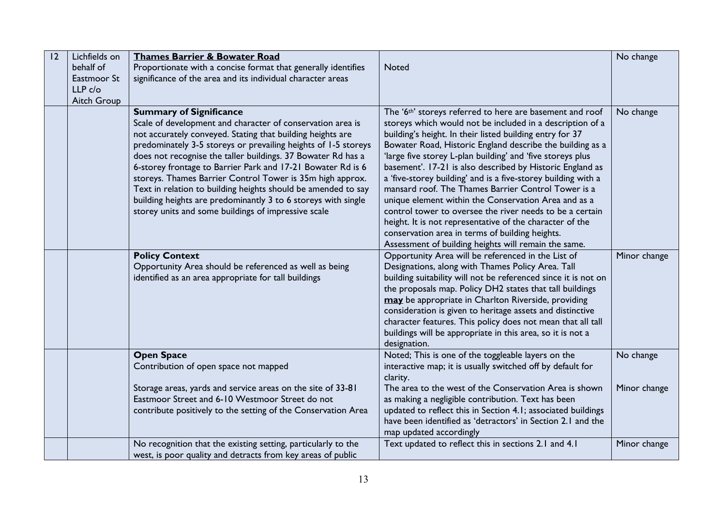| 12 | Lichfields on       | <b>Thames Barrier &amp; Bowater Road</b>                       |                                                                        | No change    |
|----|---------------------|----------------------------------------------------------------|------------------------------------------------------------------------|--------------|
|    | behalf of           | Proportionate with a concise format that generally identifies  | <b>Noted</b>                                                           |              |
|    | Eastmoor St         | significance of the area and its individual character areas    |                                                                        |              |
|    | LLP <sub>c</sub> /o |                                                                |                                                                        |              |
|    | Aitch Group         |                                                                |                                                                        |              |
|    |                     | <b>Summary of Significance</b>                                 | The '6 <sup>th</sup> ' storeys referred to here are basement and roof  | No change    |
|    |                     | Scale of development and character of conservation area is     | storeys which would not be included in a description of a              |              |
|    |                     | not accurately conveyed. Stating that building heights are     | building's height. In their listed building entry for 37               |              |
|    |                     | predominately 3-5 storeys or prevailing heights of 1-5 storeys | Bowater Road, Historic England describe the building as a              |              |
|    |                     | does not recognise the taller buildings. 37 Bowater Rd has a   | 'large five storey L-plan building' and 'five storeys plus             |              |
|    |                     | 6-storey frontage to Barrier Park and 17-21 Bowater Rd is 6    | basement'. 17-21 is also described by Historic England as              |              |
|    |                     | storeys. Thames Barrier Control Tower is 35m high approx.      | a 'five-storey building' and is a five-storey building with a          |              |
|    |                     | Text in relation to building heights should be amended to say  | mansard roof. The Thames Barrier Control Tower is a                    |              |
|    |                     | building heights are predominantly 3 to 6 storeys with single  | unique element within the Conservation Area and as a                   |              |
|    |                     | storey units and some buildings of impressive scale            | control tower to oversee the river needs to be a certain               |              |
|    |                     |                                                                | height. It is not representative of the character of the               |              |
|    |                     |                                                                | conservation area in terms of building heights.                        |              |
|    |                     |                                                                | Assessment of building heights will remain the same.                   |              |
|    |                     | <b>Policy Context</b>                                          | Opportunity Area will be referenced in the List of                     | Minor change |
|    |                     | Opportunity Area should be referenced as well as being         | Designations, along with Thames Policy Area. Tall                      |              |
|    |                     | identified as an area appropriate for tall buildings           | building suitability will not be referenced since it is not on         |              |
|    |                     |                                                                | the proposals map. Policy DH2 states that tall buildings               |              |
|    |                     |                                                                | may be appropriate in Charlton Riverside, providing                    |              |
|    |                     |                                                                | consideration is given to heritage assets and distinctive              |              |
|    |                     |                                                                | character features. This policy does not mean that all tall            |              |
|    |                     |                                                                | buildings will be appropriate in this area, so it is not a             |              |
|    |                     |                                                                | designation.                                                           |              |
|    |                     | <b>Open Space</b>                                              | Noted; This is one of the toggleable layers on the                     | No change    |
|    |                     | Contribution of open space not mapped                          | interactive map; it is usually switched off by default for<br>clarity. |              |
|    |                     | Storage areas, yards and service areas on the site of 33-81    | The area to the west of the Conservation Area is shown                 | Minor change |
|    |                     | Eastmoor Street and 6-10 Westmoor Street do not                | as making a negligible contribution. Text has been                     |              |
|    |                     | contribute positively to the setting of the Conservation Area  | updated to reflect this in Section 4.1; associated buildings           |              |
|    |                     |                                                                | have been identified as 'detractors' in Section 2.1 and the            |              |
|    |                     |                                                                | map updated accordingly                                                |              |
|    |                     | No recognition that the existing setting, particularly to the  | Text updated to reflect this in sections 2.1 and 4.1                   | Minor change |
|    |                     | west, is poor quality and detracts from key areas of public    |                                                                        |              |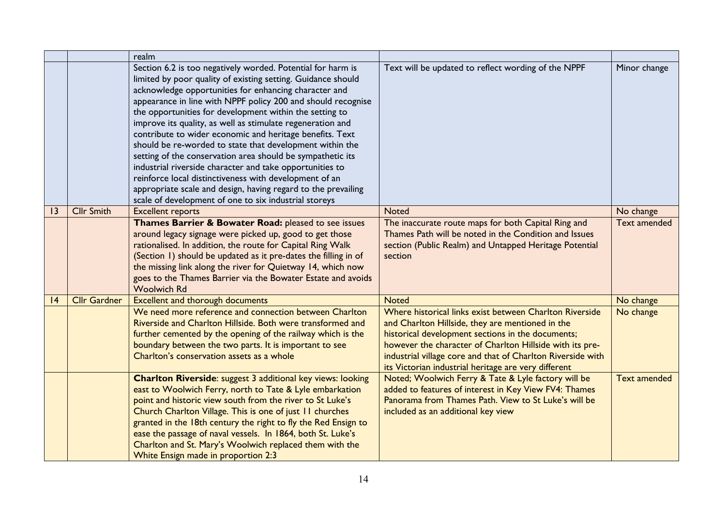|   |                     | realm                                                                                                                                                                                                                                                                                                                                                                                                                                                                                                                                                                                                                                                                                                                                                                                                               |                                                                                                                                                                                                                                                                                                                                                     |                     |
|---|---------------------|---------------------------------------------------------------------------------------------------------------------------------------------------------------------------------------------------------------------------------------------------------------------------------------------------------------------------------------------------------------------------------------------------------------------------------------------------------------------------------------------------------------------------------------------------------------------------------------------------------------------------------------------------------------------------------------------------------------------------------------------------------------------------------------------------------------------|-----------------------------------------------------------------------------------------------------------------------------------------------------------------------------------------------------------------------------------------------------------------------------------------------------------------------------------------------------|---------------------|
|   |                     | Section 6.2 is too negatively worded. Potential for harm is<br>limited by poor quality of existing setting. Guidance should<br>acknowledge opportunities for enhancing character and<br>appearance in line with NPPF policy 200 and should recognise<br>the opportunities for development within the setting to<br>improve its quality, as well as stimulate regeneration and<br>contribute to wider economic and heritage benefits. Text<br>should be re-worded to state that development within the<br>setting of the conservation area should be sympathetic its<br>industrial riverside character and take opportunities to<br>reinforce local distinctiveness with development of an<br>appropriate scale and design, having regard to the prevailing<br>scale of development of one to six industrial storeys | Text will be updated to reflect wording of the NPPF                                                                                                                                                                                                                                                                                                 | Minor change        |
| 3 | <b>Cllr Smith</b>   | <b>Excellent reports</b>                                                                                                                                                                                                                                                                                                                                                                                                                                                                                                                                                                                                                                                                                                                                                                                            | <b>Noted</b>                                                                                                                                                                                                                                                                                                                                        | No change           |
|   |                     | Thames Barrier & Bowater Road: pleased to see issues<br>around legacy signage were picked up, good to get those<br>rationalised. In addition, the route for Capital Ring Walk<br>(Section 1) should be updated as it pre-dates the filling in of<br>the missing link along the river for Quietway 14, which now<br>goes to the Thames Barrier via the Bowater Estate and avoids<br><b>Woolwich Rd</b>                                                                                                                                                                                                                                                                                                                                                                                                               | The inaccurate route maps for both Capital Ring and<br>Thames Path will be noted in the Condition and Issues<br>section (Public Realm) and Untapped Heritage Potential<br>section                                                                                                                                                                   | <b>Text amended</b> |
| 4 | <b>Cllr Gardner</b> | <b>Excellent and thorough documents</b>                                                                                                                                                                                                                                                                                                                                                                                                                                                                                                                                                                                                                                                                                                                                                                             | <b>Noted</b>                                                                                                                                                                                                                                                                                                                                        | No change           |
|   |                     | We need more reference and connection between Charlton<br>Riverside and Charlton Hillside. Both were transformed and<br>further cemented by the opening of the railway which is the<br>boundary between the two parts. It is important to see<br>Charlton's conservation assets as a whole                                                                                                                                                                                                                                                                                                                                                                                                                                                                                                                          | Where historical links exist between Charlton Riverside<br>and Charlton Hillside, they are mentioned in the<br>historical development sections in the documents;<br>however the character of Charlton Hillside with its pre-<br>industrial village core and that of Charlton Riverside with<br>its Victorian industrial heritage are very different | No change           |
|   |                     | <b>Charlton Riverside:</b> suggest 3 additional key views: looking<br>east to Woolwich Ferry, north to Tate & Lyle embarkation<br>point and historic view south from the river to St Luke's<br>Church Charlton Village. This is one of just 11 churches<br>granted in the 18th century the right to fly the Red Ensign to<br>ease the passage of naval vessels. In 1864, both St. Luke's<br>Charlton and St. Mary's Woolwich replaced them with the<br>White Ensign made in proportion 2:3                                                                                                                                                                                                                                                                                                                          | Noted; Woolwich Ferry & Tate & Lyle factory will be<br>added to features of interest in Key View FV4: Thames<br>Panorama from Thames Path. View to St Luke's will be<br>included as an additional key view                                                                                                                                          | <b>Text amended</b> |